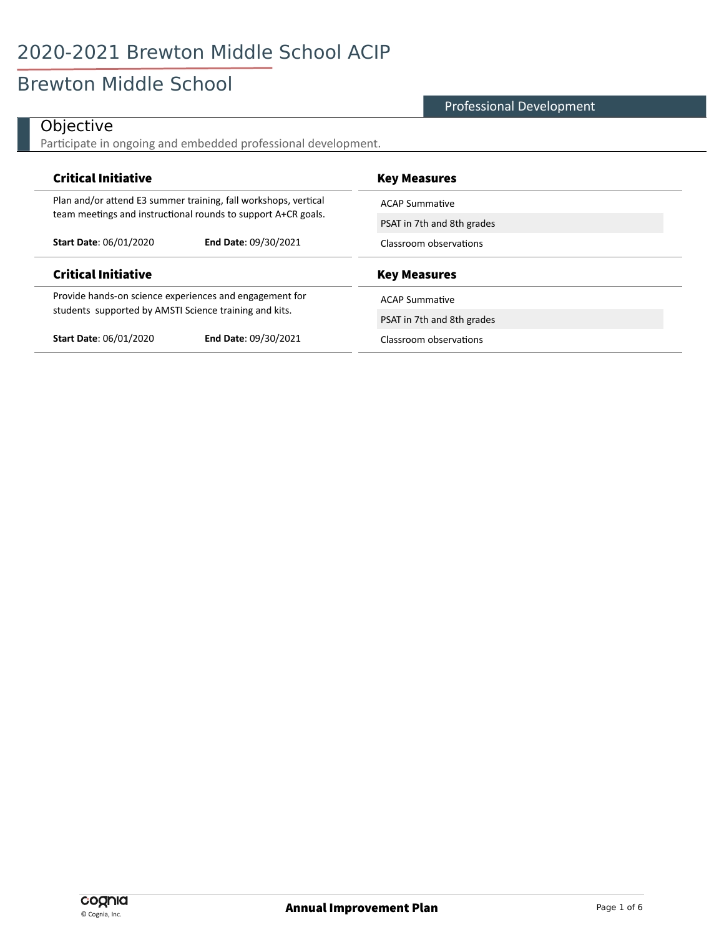# Brewton Middle School

#### Professional Development

#### **Objective**

 $\overline{a}$ 

Participate in ongoing and embedded professional development.

| <b>Critical Initiative</b>                                      | <b>Key Measures</b>        |
|-----------------------------------------------------------------|----------------------------|
| Plan and/or attend E3 summer training, fall workshops, vertical | <b>ACAP Summative</b>      |
| team meetings and instructional rounds to support A+CR goals.   | PSAT in 7th and 8th grades |
| <b>Start Date: 06/01/2020</b><br><b>End Date: 09/30/2021</b>    | Classroom observations     |
|                                                                 |                            |
| <b>Critical Initiative</b>                                      | <b>Key Measures</b>        |
| Provide hands-on science experiences and engagement for         | <b>ACAP Summative</b>      |
| students supported by AMSTI Science training and kits.          | PSAT in 7th and 8th grades |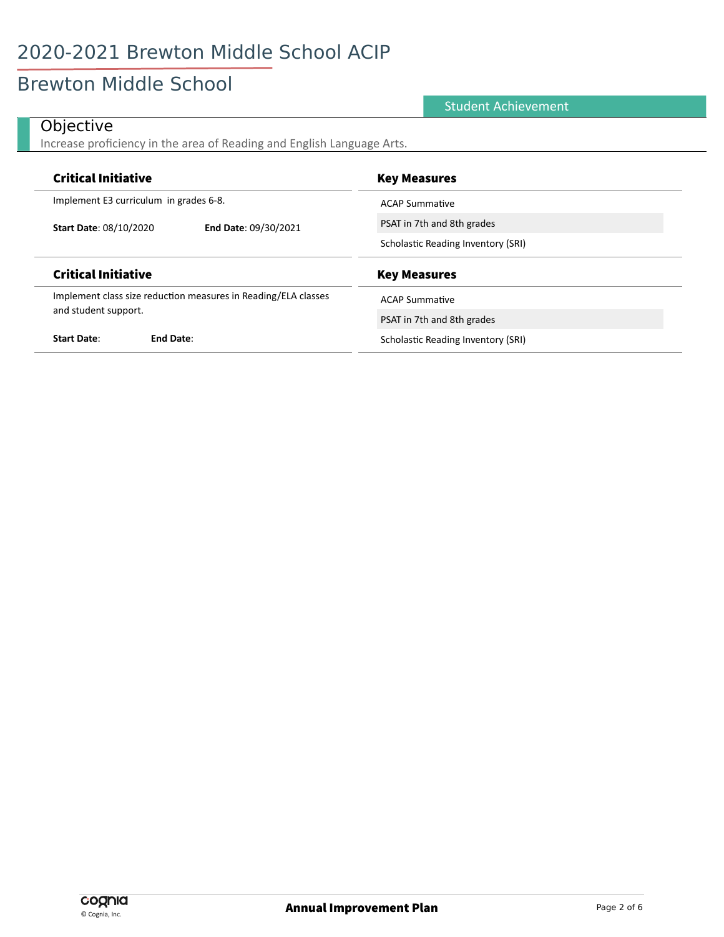# **Brewton Middle School**

#### **Student Achievement**

#### Objective

J.

Increase proficiency in the area of Reading and English Language Arts.

| <b>Critical Initiative</b>             |                                                                | <b>Key Measures</b>                |
|----------------------------------------|----------------------------------------------------------------|------------------------------------|
| Implement E3 curriculum in grades 6-8. |                                                                | <b>ACAP Summative</b>              |
| <b>Start Date: 08/10/2020</b>          | End Date: 09/30/2021                                           | PSAT in 7th and 8th grades         |
|                                        |                                                                | Scholastic Reading Inventory (SRI) |
|                                        |                                                                |                                    |
| <b>Critical Initiative</b>             |                                                                | <b>Key Measures</b>                |
|                                        | Implement class size reduction measures in Reading/ELA classes | <b>ACAP Summative</b>              |
| and student support.                   |                                                                | PSAT in 7th and 8th grades         |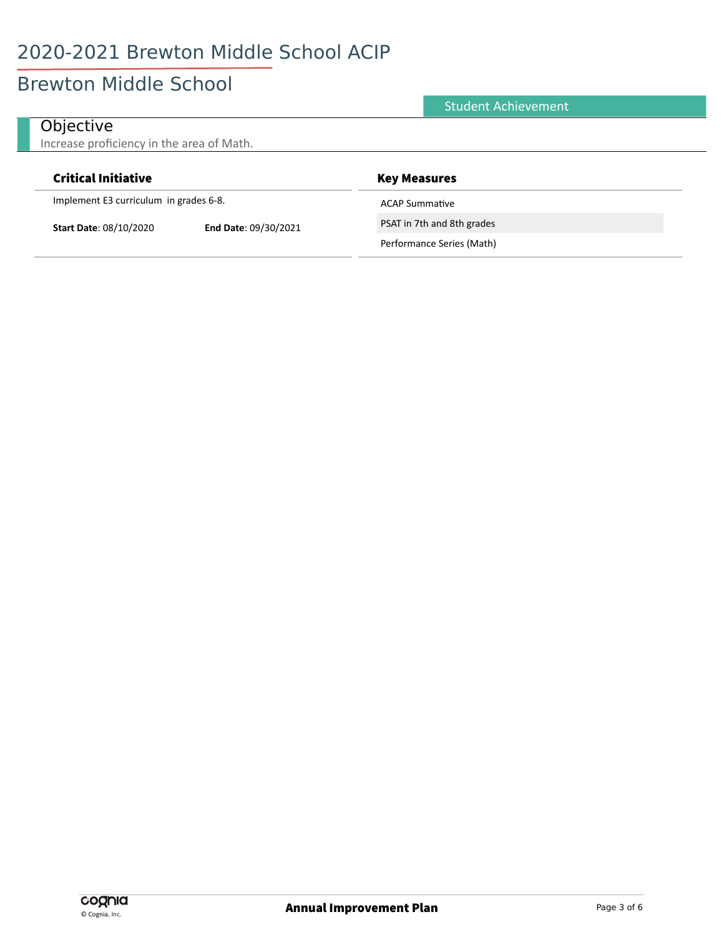#### **Brewton Middle School**

#### **Student Achievement** Objective Increase proficiency in the area of Math. **Critical Initiative Key Measures**

Implement E3 curriculum in grades 6-8.

**Start Date: 08/10/2020** 

End Date: 09/30/2021

**ACAP Summative** 

PSAT in 7th and 8th grades

Performance Series (Math)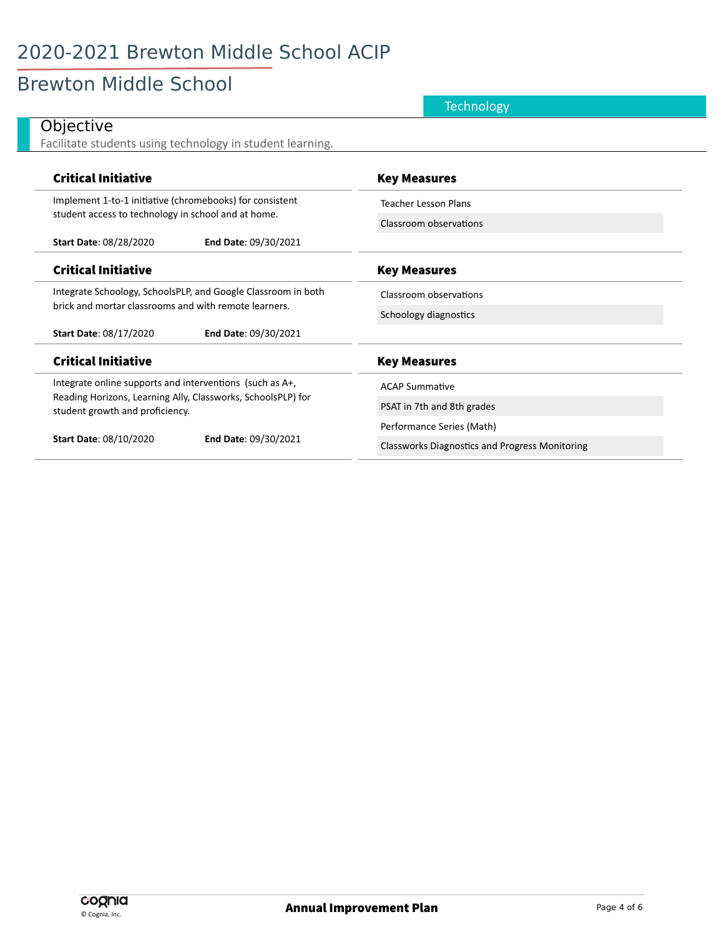# **Brewton Middle School**

|                                                                                                 | <b>Technology</b>                                     |
|-------------------------------------------------------------------------------------------------|-------------------------------------------------------|
| Objective                                                                                       |                                                       |
| Facilitate students using technology in student learning.                                       |                                                       |
| <b>Critical Initiative</b>                                                                      | <b>Key Measures</b>                                   |
| Implement 1-to-1 initiative (chromebooks) for consistent                                        | <b>Teacher Lesson Plans</b>                           |
| student access to technology in school and at home.                                             | Classroom observations                                |
| <b>Start Date: 08/28/2020</b><br>End Date: 09/30/2021                                           |                                                       |
| <b>Critical Initiative</b>                                                                      | <b>Key Measures</b>                                   |
| Integrate Schoology, SchoolsPLP, and Google Classroom in both                                   | Classroom observations                                |
| brick and mortar classrooms and with remote learners.                                           | Schoology diagnostics                                 |
| End Date: 09/30/2021<br><b>Start Date: 08/17/2020</b>                                           |                                                       |
| <b>Critical Initiative</b>                                                                      | <b>Key Measures</b>                                   |
| Integrate online supports and interventions (such as A+,                                        | <b>ACAP Summative</b>                                 |
| Reading Horizons, Learning Ally, Classworks, SchoolsPLP) for<br>student growth and proficiency. | PSAT in 7th and 8th grades                            |
|                                                                                                 | Performance Series (Math)                             |
| <b>Start Date: 08/10/2020</b><br>End Date: 09/30/2021                                           | <b>Classworks Diagnostics and Progress Monitoring</b> |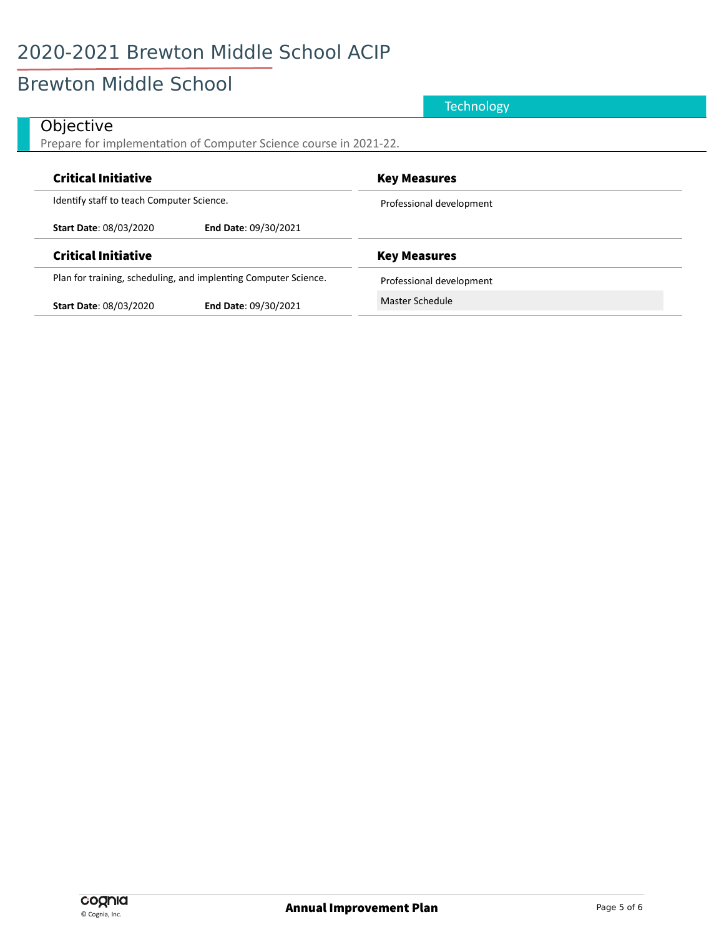### Brewton Middle School

#### **Objective** Prepare for implementation of Computer Science course in 2021-22. Critical Initiative **Key Measures** Critical Initiative Identify staff to teach Computer Science. **Start Date**: 08/03/2020 **End Date**: 09/30/2021 Professional development **Technology**

Plan for training, scheduling, and implenting Computer Science.

**Start Date**: 08/03/2020 **End Date**: 09/30/2021

Critical Initiative Critical Initiative Critical Initiative Critical Initiative

Professional development

Master Schedule

cognia © Cognia, Inc.